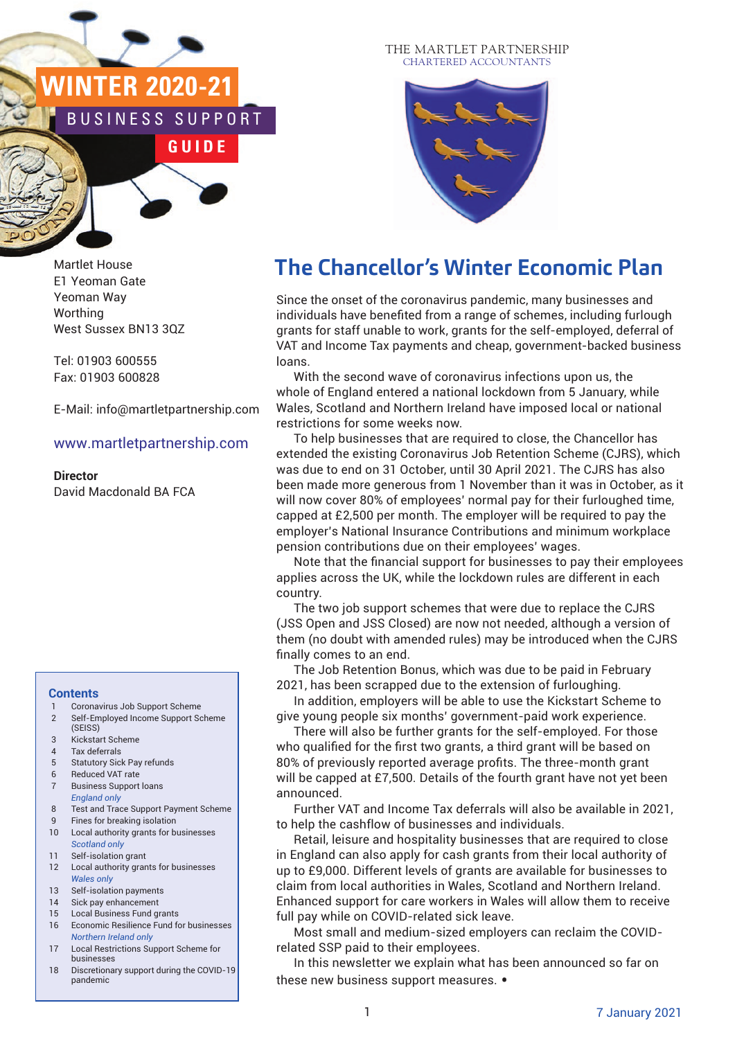# **WINTER 2020-21** NESS SUPPORT

**G U I D E**

Martlet House E1 Yeoman Gate Yeoman Way **Worthing** West Sussex BN13 3QZ

Tel: 01903 600555 Fax: 01903 600828

E-Mail: info@martletpartnership.com

#### www.martletpartnership.com

**Director** David Macdonald BA FCA

#### **Contents**

- 1 Coronavirus Job Support Scheme
- 2 Self-Employed Income Support Scheme (SEISS)
- 3 Kickstart Scheme
- 4 Tax deferrals
- 5 Statutory Sick Pay refunds 6 Reduced VAT rate
- 7 Business Support loans *England only*
- 8 Test and Trace Support Payment Scheme
- 9 Fines for breaking isolation 10 Local authority grants for businesses
- *Scotland only*
- 11 Self-isolation grant
- 12 Local authority grants for businesses *Wales only*
- 13 Self-isolation payments
- 14 Sick pay enhancement 15 Local Business Fund grants
- 16 Economic Resilience Fund for businesses *Northern Ireland only*
- 17 Local Restrictions Support Scheme for businesses
- 18 Discretionary support during the COVID-19 pandemic

#### THE MARTLET PARTNERSHIP CHARTERED ACCOUNTANTS



# **The Chancellor's Winter Economic Plan**

Since the onset of the coronavirus pandemic, many businesses and individuals have benefited from a range of schemes, including furlough grants for staff unable to work, grants for the self-employed, deferral of grams for otam anable to work, grams for the semi-employed, deferral or<br>VAT and Income Tax payments and cheap, government-backed business loans.

With the second wave of coronavirus infections upon us, the whole of England entered a national lockdown from 5 January, while Wales, Scotland and Northern Ireland have imposed local or national restrictions for some weeks now.

To help businesses that are required to close, the Chancellor has extended the existing Coronavirus Job Retention Scheme (CJRS), which was due to end on 31 October, until 30 April 2021. The CJRS has also been made more generous from 1 November than it was in October, as it will now cover 80% of employees' normal pay for their furloughed time, capped at £2,500 per month. The employer will be required to pay the employer's National Insurance Contributions and minimum workplace pension contributions due on their employees' wages.

Note that the financial support for businesses to pay their employees applies across the UK, while the lockdown rules are different in each country.

The two job support schemes that were due to replace the CJRS (JSS Open and JSS Closed) are now not needed, although a version of them (no doubt with amended rules) may be introduced when the CJRS finally comes to an end.

The Job Retention Bonus, which was due to be paid in February 2021, has been scrapped due to the extension of furloughing.

In addition, employers will be able to use the Kickstart Scheme to give young people six months' government-paid work experience.

There will also be further grants for the self-employed. For those who qualified for the first two grants, a third grant will be based on 80% of previously reported average profits. The three-month grant will be capped at £7,500. Details of the fourth grant have not yet been announced.

Further VAT and Income Tax deferrals will also be available in 2021, to help the cashflow of businesses and individuals.

Retail, leisure and hospitality businesses that are required to close in England can also apply for cash grants from their local authority of up to £9,000. Different levels of grants are available for businesses to claim from local authorities in Wales, Scotland and Northern Ireland. Enhanced support for care workers in Wales will allow them to receive full pay while on COVID-related sick leave.

Most small and medium-sized employers can reclaim the COVIDrelated SSP paid to their employees.

In this newsletter we explain what has been announced so far on these new business support measures. •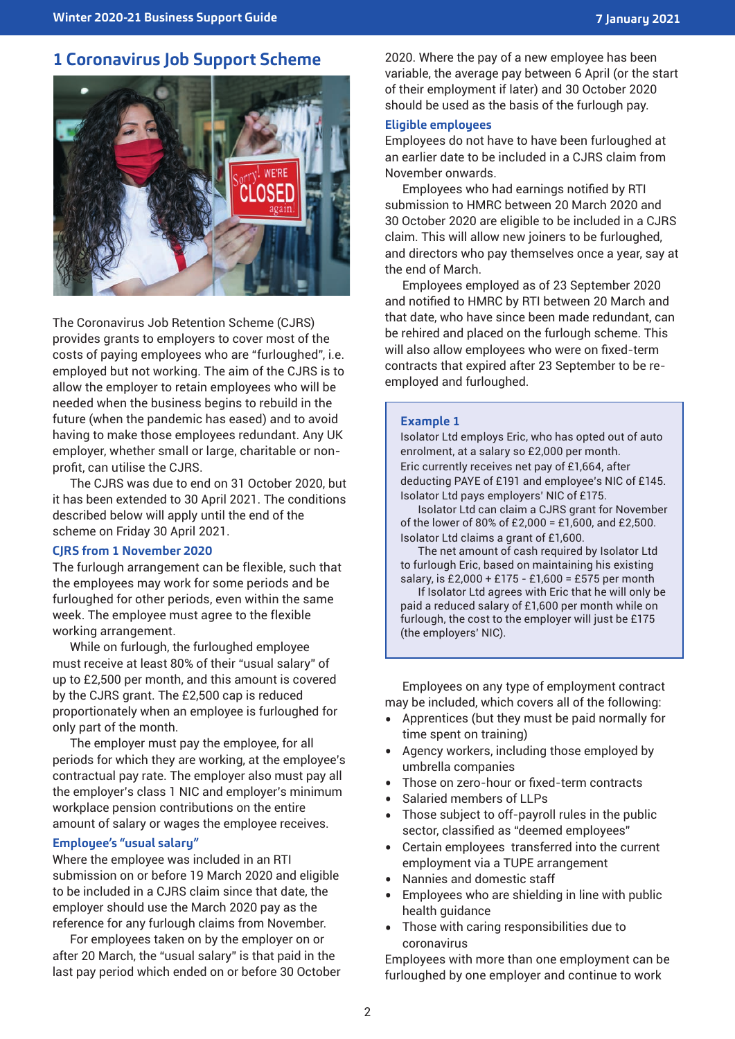### **1 Coronavirus Job Support Scheme**



The Coronavirus Job Retention Scheme (CJRS) provides grants to employers to cover most of the costs of paying employees who are "furloughed", i.e. employed but not working. The aim of the CJRS is to allow the employer to retain employees who will be needed when the business begins to rebuild in the future (when the pandemic has eased) and to avoid having to make those employees redundant. Any UK employer, whether small or large, charitable or nonprofit, can utilise the CJRS.

The CJRS was due to end on 31 October 2020, but it has been extended to 30 April 2021. The conditions described below will apply until the end of the scheme on Friday 30 April 2021.

#### **CJRS from 1 November 2020**

The furlough arrangement can be flexible, such that the employees may work for some periods and be furloughed for other periods, even within the same week. The employee must agree to the flexible working arrangement.

While on furlough, the furloughed employee must receive at least 80% of their "usual salary" of up to £2,500 per month, and this amount is covered by the CJRS grant. The £2,500 cap is reduced proportionately when an employee is furloughed for only part of the month.

The employer must pay the employee, for all periods for which they are working, at the employee's contractual pay rate. The employer also must pay all the employer's class 1 NIC and employer's minimum workplace pension contributions on the entire amount of salary or wages the employee receives.

#### **Employee's "usual salary"**

Where the employee was included in an RTI submission on or before 19 March 2020 and eligible to be included in a CJRS claim since that date, the employer should use the March 2020 pay as the reference for any furlough claims from November.

For employees taken on by the employer on or after 20 March, the "usual salary" is that paid in the last pay period which ended on or before 30 October 2020. Where the pay of a new employee has been variable, the average pay between 6 April (or the start of their employment if later) and 30 October 2020 should be used as the basis of the furlough pay.

#### **Eligible employees**

Employees do not have to have been furloughed at an earlier date to be included in a CJRS claim from November onwards.

Employees who had earnings notified by RTI submission to HMRC between 20 March 2020 and 30 October 2020 are eligible to be included in a CJRS claim. This will allow new joiners to be furloughed, and directors who pay themselves once a year, say at the end of March.

Employees employed as of 23 September 2020 and notified to HMRC by RTI between 20 March and that date, who have since been made redundant, can be rehired and placed on the furlough scheme. This will also allow employees who were on fixed-term contracts that expired after 23 September to be reemployed and furloughed.

#### **Example 1**

Isolator Ltd employs Eric, who has opted out of auto enrolment, at a salary so £2,000 per month. Eric currently receives net pay of £1,664, after deducting PAYE of £191 and employee's NIC of £145. Isolator Ltd pays employers' NIC of £175.

Isolator Ltd can claim a CJRS grant for November of the lower of 80% of £2,000 = £1,600, and £2,500. Isolator Ltd claims a grant of £1,600.

The net amount of cash required by Isolator Ltd to furlough Eric, based on maintaining his existing salary, is £2,000 + £175 - £1,600 = £575 per month

If Isolator Ltd agrees with Eric that he will only be paid a reduced salary of £1,600 per month while on furlough, the cost to the employer will just be £175 (the employers' NIC).

Employees on any type of employment contract may be included, which covers all of the following:

- Apprentices (but they must be paid normally for time spent on training)
- Agency workers, including those employed by umbrella companies
- Those on zero-hour or fixed-term contracts
- Salaried members of LLPs<br>• Those subiect to off-payro
- Those subject to off-payroll rules in the public sector, classified as "deemed employees"
- Certain employees transferred into the current employment via a TUPE arrangement
- Nannies and domestic staff
- Employees who are shielding in line with public health guidance
- Those with caring responsibilities due to coronavirus

Employees with more than one employment can be furloughed by one employer and continue to work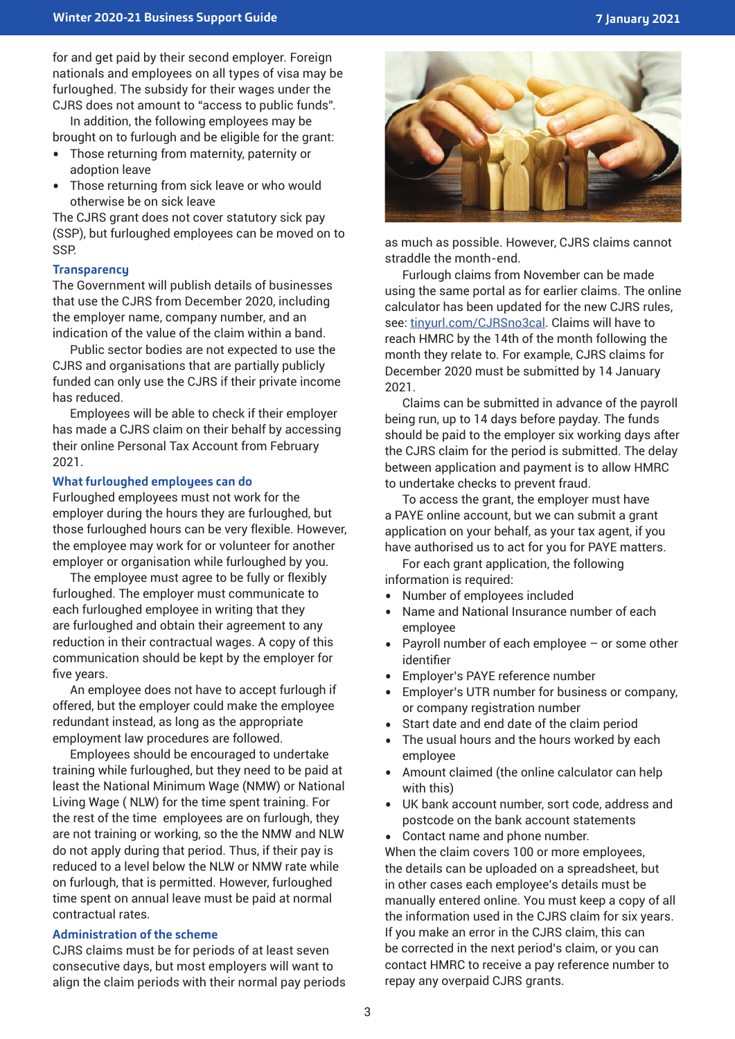for and get paid by their second employer. Foreign nationals and employees on all types of visa may be furloughed. The subsidy for their wages under the CJRS does not amount to "access to public funds".

In addition, the following employees may be brought on to furlough and be eligible for the grant:

- Those returning from maternity, paternity or adoption leave
- Those returning from sick leave or who would otherwise be on sick leave

The CJRS grant does not cover statutory sick pay (SSP), but furloughed employees can be moved on to SSP.

#### **Transparency**

The Government will publish details of businesses that use the CJRS from December 2020, including the employer name, company number, and an indication of the value of the claim within a band.

Public sector bodies are not expected to use the CJRS and organisations that are partially publicly funded can only use the CJRS if their private income has reduced.

Employees will be able to check if their employer has made a CJRS claim on their behalf by accessing their online Personal Tax Account from February 2021.

#### **What furloughed employees can do**

Furloughed employees must not work for the employer during the hours they are furloughed, but those furloughed hours can be very flexible. However, the employee may work for or volunteer for another employer or organisation while furloughed by you.

The employee must agree to be fully or flexibly furloughed. The employer must communicate to each furloughed employee in writing that they are furloughed and obtain their agreement to any reduction in their contractual wages. A copy of this communication should be kept by the employer for five years.

An employee does not have to accept furlough if offered, but the employer could make the employee redundant instead, as long as the appropriate employment law procedures are followed.

Employees should be encouraged to undertake training while furloughed, but they need to be paid at least the National Minimum Wage (NMW) or National Living Wage ( NLW) for the time spent training. For the rest of the time employees are on furlough, they are not training or working, so the the NMW and NLW do not apply during that period. Thus, if their pay is reduced to a level below the NLW or NMW rate while on furlough, that is permitted. However, furloughed time spent on annual leave must be paid at normal contractual rates.

#### **Administration of the scheme**

CJRS claims must be for periods of at least seven consecutive days, but most employers will want to align the claim periods with their normal pay periods



as much as possible. However, CJRS claims cannot straddle the month-end.

Furlough claims from November can be made using the same portal as for earlier claims. The online calculator has been updated for the new CJRS rules, see: tinyurl.com/CJRSno3cal. Claims will have to reach HMRC by the 14th of the month following the month they relate to. For example, CJRS claims for December 2020 must be submitted by 14 January 2021.

Claims can be submitted in advance of the payroll being run, up to 14 days before payday. The funds should be paid to the employer six working days after the CJRS claim for the period is submitted. The delay between application and payment is to allow HMRC to undertake checks to prevent fraud.

To access the grant, the employer must have a PAYE online account, but we can submit a grant application on your behalf, as your tax agent, if you have authorised us to act for you for PAYE matters.

For each grant application, the following information is required:

- Number of employees included
- Name and National Insurance number of each employee
- Payroll number of each employee or some other identifier
- Employer's PAYE reference number
- Employer's UTR number for business or company, or company registration number
- Start date and end date of the claim period<br>• The usual hours and the hours worked by e
- The usual hours and the hours worked by each employee
- Amount claimed (the online calculator can help with this)
- UK bank account number, sort code, address and postcode on the bank account statements
- Contact name and phone number.

When the claim covers 100 or more employees, the details can be uploaded on a spreadsheet, but in other cases each employee's details must be manually entered online. You must keep a copy of all the information used in the CJRS claim for six years. If you make an error in the CJRS claim, this can be corrected in the next period's claim, or you can contact HMRC to receive a pay reference number to repay any overpaid CJRS grants.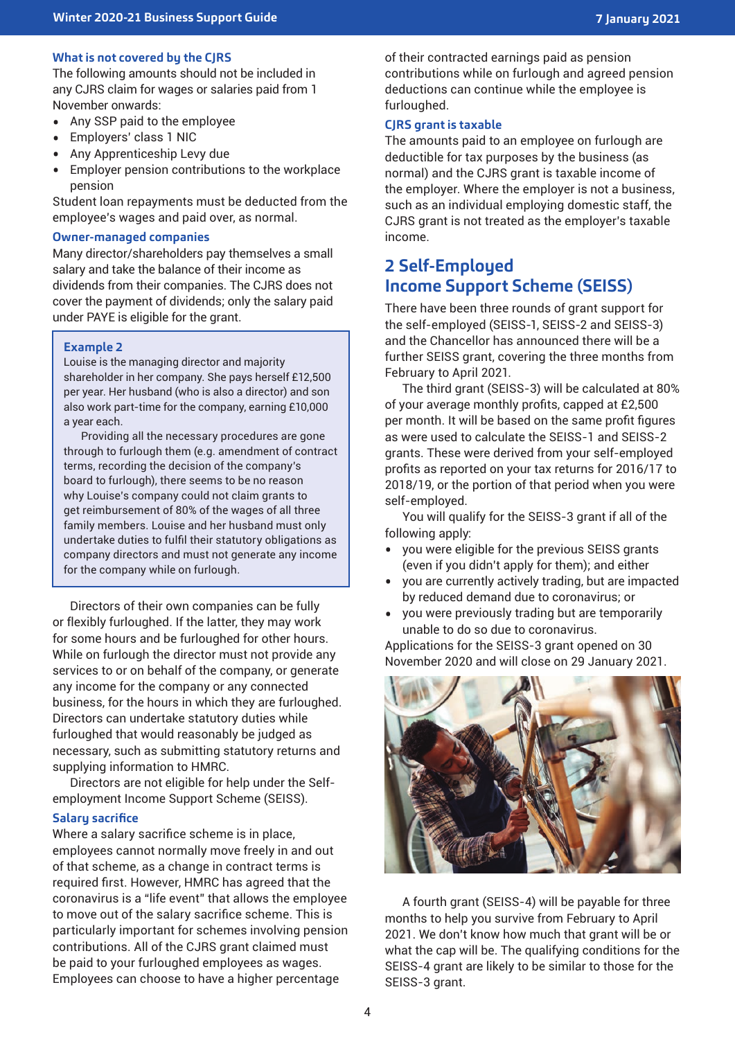#### **What is not covered by the CJRS**

The following amounts should not be included in any CJRS claim for wages or salaries paid from 1 November onwards:

- Any SSP paid to the employee<br>• Employers' class 1 NIC
- Employers' class 1 NIC<br>• Any Apprenticeshin Lev
- Any Apprenticeship Levy due
- Employer pension contributions to the workplace pension

Student loan repayments must be deducted from the employee's wages and paid over, as normal.

#### **Owner-managed companies**

Many director/shareholders pay themselves a small salary and take the balance of their income as dividends from their companies. The CJRS does not cover the payment of dividends; only the salary paid under PAYE is eligible for the grant.

#### **Example 2**

Louise is the managing director and majority shareholder in her company. She pays herself £12,500 per year. Her husband (who is also a director) and son also work part-time for the company, earning £10,000 a year each.

Providing all the necessary procedures are gone through to furlough them (e.g. amendment of contract terms, recording the decision of the company's board to furlough), there seems to be no reason why Louise's company could not claim grants to get reimbursement of 80% of the wages of all three family members. Louise and her husband must only undertake duties to fulfil their statutory obligations as company directors and must not generate any income for the company while on furlough.

Directors of their own companies can be fully or flexibly furloughed. If the latter, they may work for some hours and be furloughed for other hours. While on furlough the director must not provide any services to or on behalf of the company, or generate any income for the company or any connected business, for the hours in which they are furloughed. Directors can undertake statutory duties while furloughed that would reasonably be judged as necessary, such as submitting statutory returns and supplying information to HMRC.

Directors are not eligible for help under the Selfemployment Income Support Scheme (SEISS).

#### **Salary sacrifice**

Where a salary sacrifice scheme is in place, employees cannot normally move freely in and out of that scheme, as a change in contract terms is required first. However, HMRC has agreed that the coronavirus is a "life event" that allows the employee to move out of the salary sacrifice scheme. This is particularly important for schemes involving pension contributions. All of the CJRS grant claimed must be paid to your furloughed employees as wages. Employees can choose to have a higher percentage

of their contracted earnings paid as pension contributions while on furlough and agreed pension deductions can continue while the employee is furloughed.

#### **CJRS grant is taxable**

The amounts paid to an employee on furlough are deductible for tax purposes by the business (as normal) and the CJRS grant is taxable income of the employer. Where the employer is not a business, such as an individual employing domestic staff, the CJRS grant is not treated as the employer's taxable income.

### **2 Self-Employed Income Support Scheme (SEISS)**

There have been three rounds of grant support for the self-employed (SEISS-1, SEISS-2 and SEISS-3) and the Chancellor has announced there will be a further SEISS grant, covering the three months from February to April 2021.

The third grant (SEISS-3) will be calculated at 80% of your average monthly profits, capped at £2,500 per month. It will be based on the same profit figures as were used to calculate the SEISS-1 and SEISS-2 grants. These were derived from your self-employed profits as reported on your tax returns for 2016/17 to 2018/19, or the portion of that period when you were self-employed.

You will qualify for the SEISS-3 grant if all of the following apply:

- you were eligible for the previous SEISS grants (even if you didn't apply for them); and either
- you are currently actively trading, but are impacted by reduced demand due to coronavirus; or
- you were previously trading but are temporarily unable to do so due to coronavirus.

Applications for the SEISS-3 grant opened on 30 November 2020 and will close on 29 January 2021.



A fourth grant (SEISS-4) will be payable for three months to help you survive from February to April 2021. We don't know how much that grant will be or what the cap will be. The qualifying conditions for the SEISS-4 grant are likely to be similar to those for the SEISS-3 grant.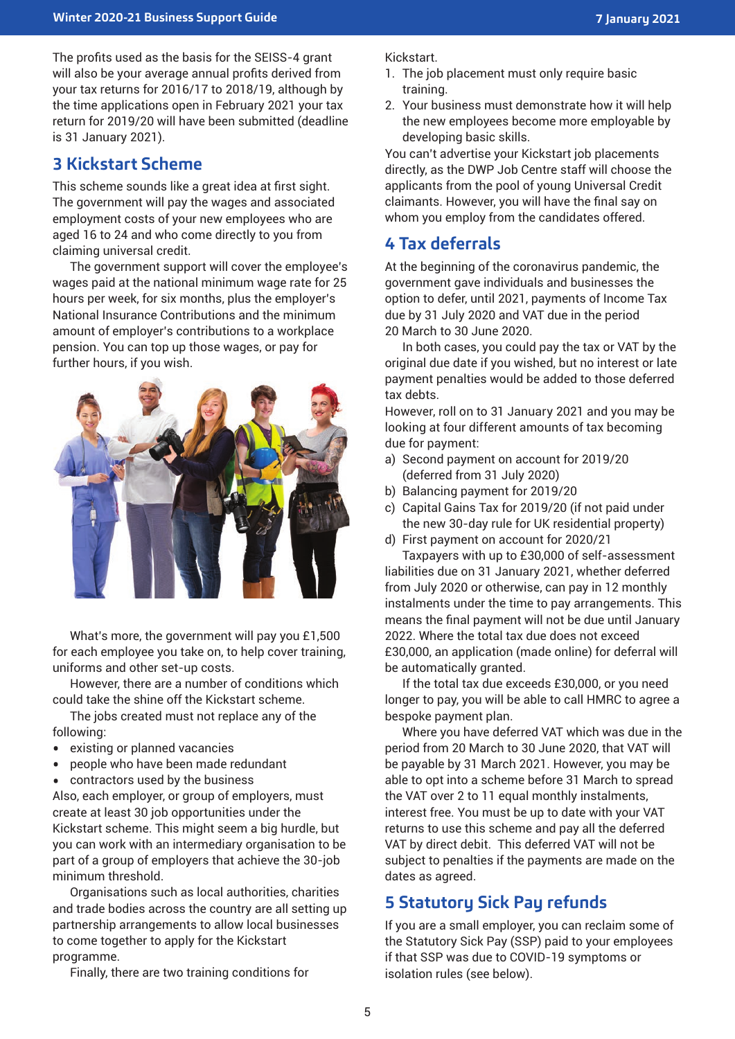The profits used as the basis for the SEISS-4 grant will also be your average annual profits derived from your tax returns for 2016/17 to 2018/19, although by the time applications open in February 2021 your tax return for 2019/20 will have been submitted (deadline is 31 January 2021).

# **3 Kickstart Scheme**

This scheme sounds like a great idea at first sight. The government will pay the wages and associated employment costs of your new employees who are aged 16 to 24 and who come directly to you from claiming universal credit.

The government support will cover the employee's wages paid at the national minimum wage rate for 25 hours per week, for six months, plus the employer's National Insurance Contributions and the minimum amount of employer's contributions to a workplace pension. You can top up those wages, or pay for further hours, if you wish.



What's more, the government will pay you £1,500 for each employee you take on, to help cover training, uniforms and other set-up costs.

However, there are a number of conditions which could take the shine off the Kickstart scheme.

The jobs created must not replace any of the following:

- existing or planned vacancies<br>• people who have been made r
- people who have been made redundant<br>• contractors used by the business
- contractors used by the business

Also, each employer, or group of employers, must create at least 30 job opportunities under the Kickstart scheme. This might seem a big hurdle, but you can work with an intermediary organisation to be part of a group of employers that achieve the 30-job minimum threshold.

Organisations such as local authorities, charities and trade bodies across the country are all setting up partnership arrangements to allow local businesses to come together to apply for the Kickstart programme.

Finally, there are two training conditions for

Kickstart.

- 1. The job placement must only require basic training.
- 2. Your business must demonstrate how it will help the new employees become more employable by developing basic skills.

You can't advertise your Kickstart job placements directly, as the DWP Job Centre staff will choose the applicants from the pool of young Universal Credit claimants. However, you will have the final say on whom you employ from the candidates offered.

# **4 Tax deferrals**

At the beginning of the coronavirus pandemic, the government gave individuals and businesses the option to defer, until 2021, payments of Income Tax due by 31 July 2020 and VAT due in the period 20 March to 30 June 2020.

In both cases, you could pay the tax or VAT by the original due date if you wished, but no interest or late payment penalties would be added to those deferred tax debts.

However, roll on to 31 January 2021 and you may be looking at four different amounts of tax becoming due for payment:

- a) Second payment on account for 2019/20 (deferred from 31 July 2020)
- b) Balancing payment for 2019/20
- c) Capital Gains Tax for 2019/20 (if not paid under the new 30-day rule for UK residential property)
- d) First payment on account for 2020/21

Taxpayers with up to £30,000 of self-assessment liabilities due on 31 January 2021, whether deferred from July 2020 or otherwise, can pay in 12 monthly instalments under the time to pay arrangements. This means the final payment will not be due until January 2022. Where the total tax due does not exceed £30,000, an application (made online) for deferral will be automatically granted.

If the total tax due exceeds £30,000, or you need longer to pay, you will be able to call HMRC to agree a bespoke payment plan.

Where you have deferred VAT which was due in the period from 20 March to 30 June 2020, that VAT will be payable by 31 March 2021. However, you may be able to opt into a scheme before 31 March to spread the VAT over 2 to 11 equal monthly instalments, interest free. You must be up to date with your VAT returns to use this scheme and pay all the deferred VAT by direct debit. This deferred VAT will not be subject to penalties if the payments are made on the dates as agreed.

# **5 Statutory Sick Pay refunds**

If you are a small employer, you can reclaim some of the Statutory Sick Pay (SSP) paid to your employees if that SSP was due to COVID-19 symptoms or isolation rules (see below).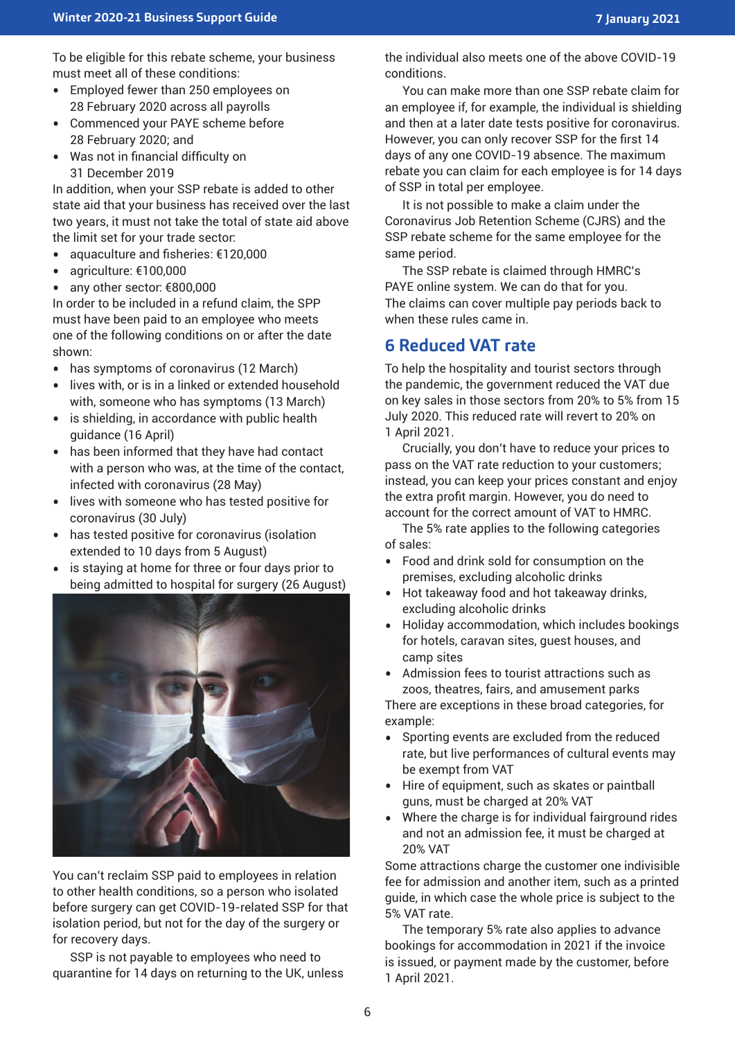To be eligible for this rebate scheme, your business must meet all of these conditions:

- Employed fewer than 250 employees on 28 February 2020 across all payrolls
- Commenced your PAYE scheme before 28 February 2020; and
- Was not in financial difficulty on 31 December 2019

In addition, when your SSP rebate is added to other state aid that your business has received over the last two years, it must not take the total of state aid above the limit set for your trade sector:

- aquaculture and fisheries: €120,000<br>• agriculture: €100.000
- agriculture: €100,000<br>• any other sector: €80
- any other sector: €800,000

In order to be included in a refund claim, the SPP must have been paid to an employee who meets one of the following conditions on or after the date shown:

- has symptoms of coronavirus (12 March)<br>• lives with or is in a linked or extended hou
- lives with, or is in a linked or extended household with, someone who has symptoms (13 March)
- is shielding, in accordance with public health guidance (16 April)
- has been informed that they have had contact with a person who was, at the time of the contact, infected with coronavirus (28 May)
- lives with someone who has tested positive for coronavirus (30 July)
- has tested positive for coronavirus (isolation extended to 10 days from 5 August)
- is staying at home for three or four days prior to being admitted to hospital for surgery (26 August)



You can't reclaim SSP paid to employees in relation to other health conditions, so a person who isolated before surgery can get COVID-19-related SSP for that isolation period, but not for the day of the surgery or for recovery days.

SSP is not payable to employees who need to quarantine for 14 days on returning to the UK, unless the individual also meets one of the above COVID-19 conditions.

You can make more than one SSP rebate claim for an employee if, for example, the individual is shielding and then at a later date tests positive for coronavirus. However, you can only recover SSP for the first 14 days of any one COVID-19 absence. The maximum rebate you can claim for each employee is for 14 days of SSP in total per employee.

It is not possible to make a claim under the Coronavirus Job Retention Scheme (CJRS) and the SSP rebate scheme for the same employee for the same period.

The SSP rebate is claimed through HMRC's PAYE online system. We can do that for you. The claims can cover multiple pay periods back to when these rules came in.

# **6 Reduced VAT rate**

To help the hospitality and tourist sectors through the pandemic, the government reduced the VAT due on key sales in those sectors from 20% to 5% from 15 July 2020. This reduced rate will revert to 20% on 1 April 2021.

Crucially, you don't have to reduce your prices to pass on the VAT rate reduction to your customers; instead, you can keep your prices constant and enjoy the extra profit margin. However, you do need to account for the correct amount of VAT to HMRC.

The 5% rate applies to the following categories of sales:

- Food and drink sold for consumption on the premises, excluding alcoholic drinks
- Hot takeaway food and hot takeaway drinks, excluding alcoholic drinks
- Holiday accommodation, which includes bookings for hotels, caravan sites, guest houses, and camp sites
- Admission fees to tourist attractions such as zoos, theatres, fairs, and amusement parks

There are exceptions in these broad categories, for example:

- Sporting events are excluded from the reduced rate, but live performances of cultural events may be exempt from VAT
- Hire of equipment, such as skates or paintball guns, must be charged at 20% VAT
- Where the charge is for individual fairground rides and not an admission fee, it must be charged at 20% VAT

Some attractions charge the customer one indivisible fee for admission and another item, such as a printed guide, in which case the whole price is subject to the 5% VAT rate.

The temporary 5% rate also applies to advance bookings for accommodation in 2021 if the invoice is issued, or payment made by the customer, before 1 April 2021.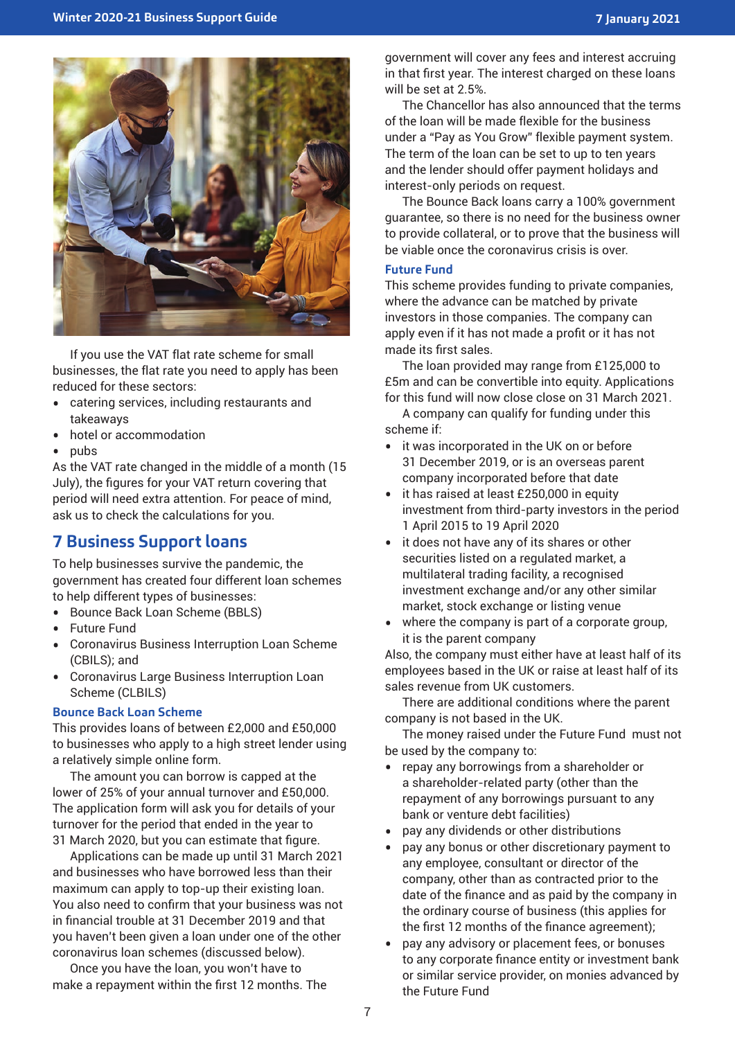

If you use the VAT flat rate scheme for small businesses, the flat rate you need to apply has been reduced for these sectors:

- catering services, including restaurants and takeaways
- hotel or accommodation
- pubs

As the VAT rate changed in the middle of a month (15 July), the figures for your VAT return covering that period will need extra attention. For peace of mind, ask us to check the calculations for you.

# **7 Business Support loans**

To help businesses survive the pandemic, the government has created four different loan schemes to help different types of businesses:

- Bounce Back Loan Scheme (BBLS)<br>• Euture Fund
- Future Fund
- Coronavirus Business Interruption Loan Scheme (CBILS); and
- Coronavirus Large Business Interruption Loan Scheme (CLBILS)

#### **Bounce Back Loan Scheme**

This provides loans of between £2,000 and £50,000 to businesses who apply to a high street lender using a relatively simple online form.

The amount you can borrow is capped at the lower of 25% of your annual turnover and £50,000. The application form will ask you for details of your turnover for the period that ended in the year to 31 March 2020, but you can estimate that figure.

Applications can be made up until 31 March 2021 and businesses who have borrowed less than their maximum can apply to top-up their existing loan. You also need to confirm that your business was not in financial trouble at 31 December 2019 and that you haven't been given a loan under one of the other coronavirus loan schemes (discussed below).

Once you have the loan, you won't have to make a repayment within the first 12 months. The government will cover any fees and interest accruing in that first year. The interest charged on these loans will be set at 2.5%.

The Chancellor has also announced that the terms of the loan will be made flexible for the business under a "Pay as You Grow" flexible payment system. The term of the loan can be set to up to ten years and the lender should offer payment holidays and interest-only periods on request.

The Bounce Back loans carry a 100% government guarantee, so there is no need for the business owner to provide collateral, or to prove that the business will be viable once the coronavirus crisis is over.

#### **Future Fund**

This scheme provides funding to private companies, where the advance can be matched by private investors in those companies. The company can apply even if it has not made a profit or it has not made its first sales.

The loan provided may range from £125,000 to £5m and can be convertible into equity. Applications for this fund will now close close on 31 March 2021.

A company can qualify for funding under this scheme if:

- it was incorporated in the UK on or before 31 December 2019, or is an overseas parent company incorporated before that date
- it has raised at least £250,000 in equity investment from third-party investors in the period 1 April 2015 to 19 April 2020
- it does not have any of its shares or other securities listed on a regulated market, a multilateral trading facility, a recognised investment exchange and/or any other similar market, stock exchange or listing venue
- where the company is part of a corporate group, it is the parent company

Also, the company must either have at least half of its employees based in the UK or raise at least half of its sales revenue from UK customers.

There are additional conditions where the parent company is not based in the UK.

The money raised under the Future Fund must not be used by the company to:

- repay any borrowings from a shareholder or a shareholder-related party (other than the repayment of any borrowings pursuant to any bank or venture debt facilities)
- pay any dividends or other distributions
- pay any bonus or other discretionary payment to any employee, consultant or director of the company, other than as contracted prior to the date of the finance and as paid by the company in the ordinary course of business (this applies for the first 12 months of the finance agreement);
- pay any advisory or placement fees, or bonuses to any corporate finance entity or investment bank or similar service provider, on monies advanced by the Future Fund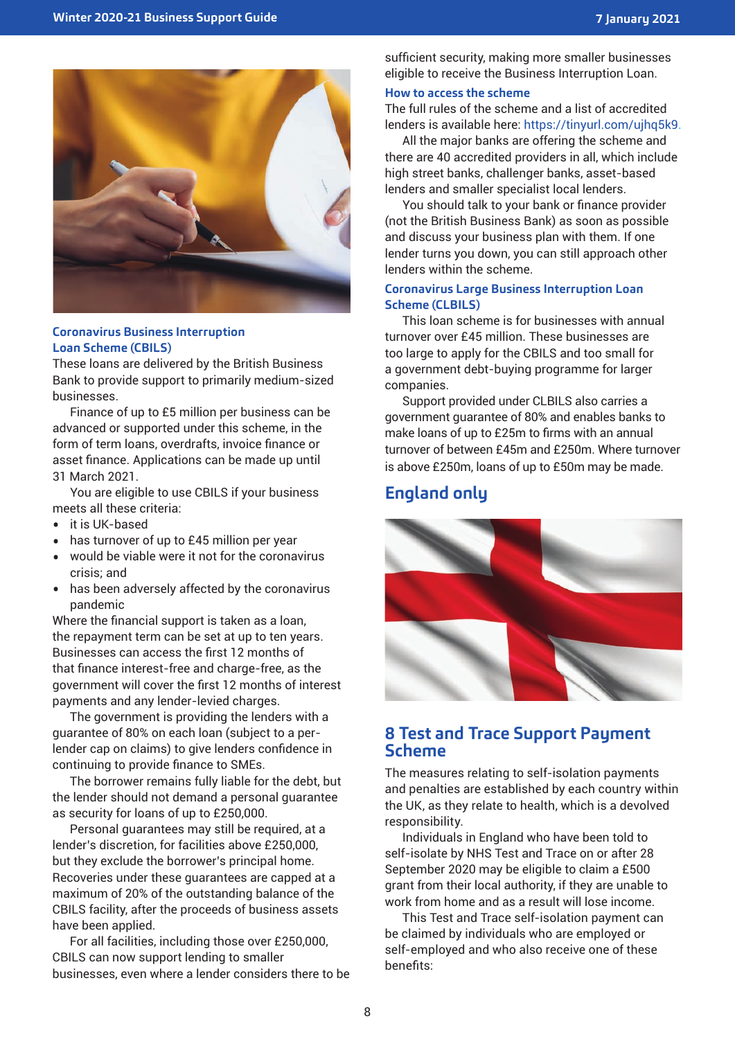

#### **Coronavirus Business Interruption Loan Scheme (CBILS)**

These loans are delivered by the British Business Bank to provide support to primarily medium-sized businesses.

Finance of up to £5 million per business can be advanced or supported under this scheme, in the form of term loans, overdrafts, invoice finance or asset finance. Applications can be made up until 31 March 2021.

You are eligible to use CBILS if your business meets all these criteria:

- it is UK-based
- has turnover of up to £45 million per year<br>• would be viable were it not for the coronal
- would be viable were it not for the coronavirus crisis; and
- has been adversely affected by the coronavirus pandemic

Where the financial support is taken as a loan, the repayment term can be set at up to ten years. Businesses can access the first 12 months of that finance interest-free and charge-free, as the government will cover the first 12 months of interest payments and any lender-levied charges.

The government is providing the lenders with a guarantee of 80% on each loan (subject to a perlender cap on claims) to give lenders confidence in continuing to provide finance to SMEs.

The borrower remains fully liable for the debt, but the lender should not demand a personal guarantee as security for loans of up to £250,000.

Personal guarantees may still be required, at a lender's discretion, for facilities above £250,000, but they exclude the borrower's principal home. Recoveries under these guarantees are capped at a maximum of 20% of the outstanding balance of the CBILS facility, after the proceeds of business assets have been applied.

For all facilities, including those over £250,000, CBILS can now support lending to smaller businesses, even where a lender considers there to be sufficient security, making more smaller businesses eligible to receive the Business Interruption Loan.

#### **How to access the scheme**

The full rules of the scheme and a list of accredited lenders is available here: https://tinyurl.com/ujhq5k9.

All the major banks are offering the scheme and there are 40 accredited providers in all, which include high street banks, challenger banks, asset-based lenders and smaller specialist local lenders.

You should talk to your bank or finance provider (not the British Business Bank) as soon as possible and discuss your business plan with them. If one lender turns you down, you can still approach other lenders within the scheme.

#### **Coronavirus Large Business Interruption Loan Scheme (CLBILS)**

This loan scheme is for businesses with annual turnover over £45 million. These businesses are too large to apply for the CBILS and too small for a government debt-buying programme for larger companies.

Support provided under CLBILS also carries a government guarantee of 80% and enables banks to make loans of up to £25m to firms with an annual turnover of between £45m and £250m. Where turnover is above £250m, loans of up to £50m may be made.

# **England only**



### **8 Test and Trace Support Payment Scheme**

The measures relating to self-isolation payments and penalties are established by each country within the UK, as they relate to health, which is a devolved responsibility.

Individuals in England who have been told to self-isolate by NHS Test and Trace on or after 28 September 2020 may be eligible to claim a £500 grant from their local authority, if they are unable to work from home and as a result will lose income.

This Test and Trace self-isolation payment can be claimed by individuals who are employed or self-employed and who also receive one of these benefits: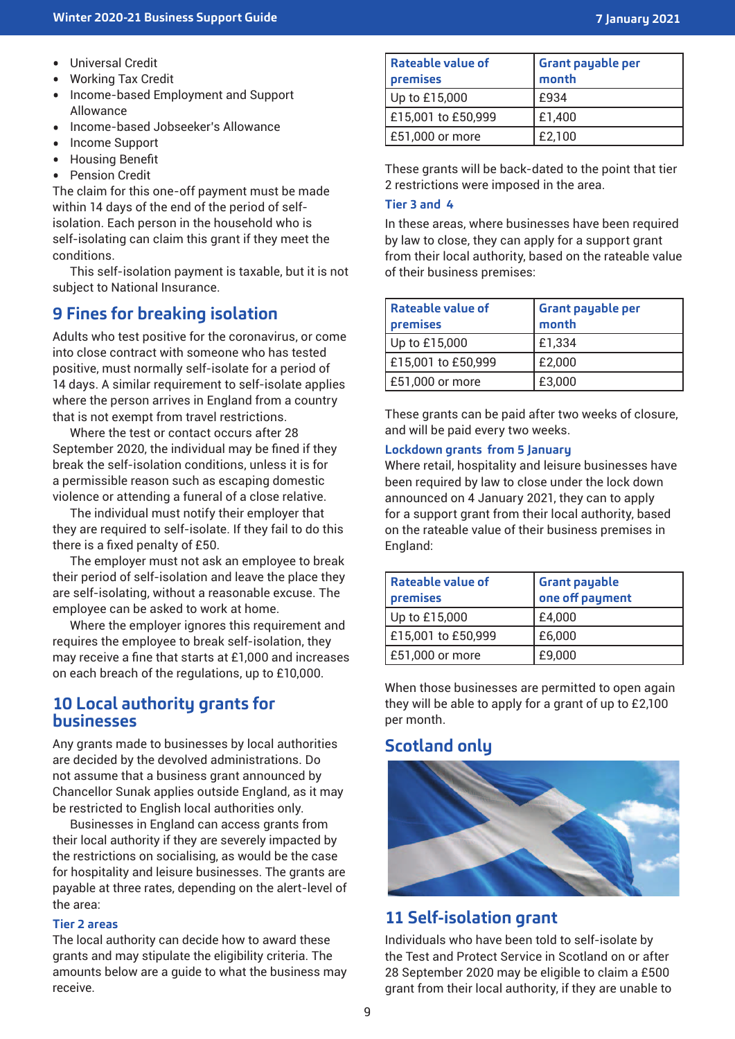- Universal Credit<br>• Working Tax Cre
- Working Tax Credit<br>• Income-based Emp
- Income-based Employment and Support Allowance
- Income-based Jobseeker's Allowance<br>• Income Support
- Income Support<br>• Housing Benefit
- Housing Benefit
- Pension Credit

The claim for this one-off payment must be made within 14 days of the end of the period of selfisolation. Each person in the household who is self-isolating can claim this grant if they meet the conditions.

This self-isolation payment is taxable, but it is not subject to National Insurance.

# **9 Fines for breaking isolation**

Adults who test positive for the coronavirus, or come into close contract with someone who has tested positive, must normally self-isolate for a period of 14 days. A similar requirement to self-isolate applies where the person arrives in England from a country that is not exempt from travel restrictions.

Where the test or contact occurs after 28 September 2020, the individual may be fined if they break the self-isolation conditions, unless it is for a permissible reason such as escaping domestic violence or attending a funeral of a close relative.

The individual must notify their employer that they are required to self-isolate. If they fail to do this there is a fixed penalty of £50.

The employer must not ask an employee to break their period of self-isolation and leave the place they are self-isolating, without a reasonable excuse. The employee can be asked to work at home.

Where the employer ignores this requirement and requires the employee to break self-isolation, they may receive a fine that starts at £1,000 and increases on each breach of the regulations, up to £10,000.

### **10 Local authority grants for businesses**

Any grants made to businesses by local authorities are decided by the devolved administrations. Do not assume that a business grant announced by Chancellor Sunak applies outside England, as it may be restricted to English local authorities only.

Businesses in England can access grants from their local authority if they are severely impacted by the restrictions on socialising, as would be the case for hospitality and leisure businesses. The grants are payable at three rates, depending on the alert-level of the area:

#### **Tier 2 areas**

The local authority can decide how to award these grants and may stipulate the eligibility criteria. The amounts below are a guide to what the business may receive.

| Rateable value of<br>premises | <b>Grant payable per</b><br>month |
|-------------------------------|-----------------------------------|
| Up to £15,000                 | £934                              |
| £15,001 to £50,999            | £1,400                            |
| £51,000 or more               | £2,100                            |

These grants will be back-dated to the point that tier 2 restrictions were imposed in the area.

#### **Tier 3 and 4**

In these areas, where businesses have been required by law to close, they can apply for a support grant from their local authority, based on the rateable value of their business premises:

| Rateable value of<br>premises | <b>Grant payable per</b><br>month |
|-------------------------------|-----------------------------------|
| Up to £15,000                 | £1,334                            |
| £15,001 to £50,999            | £2,000                            |
| £51,000 or more               | £3,000                            |

These grants can be paid after two weeks of closure, and will be paid every two weeks.

#### **Lockdown grants from 5 January**

Where retail, hospitality and leisure businesses have been required by law to close under the lock down announced on 4 January 2021, they can to apply for a support grant from their local authority, based on the rateable value of their business premises in England:

| Rateable value of<br>premises | <b>Grant payable</b><br>one off payment |
|-------------------------------|-----------------------------------------|
| Up to £15,000                 | £4,000                                  |
| £15,001 to £50,999            | £6,000                                  |
| £51,000 or more               | £9,000                                  |

When those businesses are permitted to open again they will be able to apply for a grant of up to £2,100 per month.

# **Scotland only**



# **11 Self-isolation grant**

Individuals who have been told to self-isolate by the Test and Protect Service in Scotland on or after 28 September 2020 may be eligible to claim a £500 grant from their local authority, if they are unable to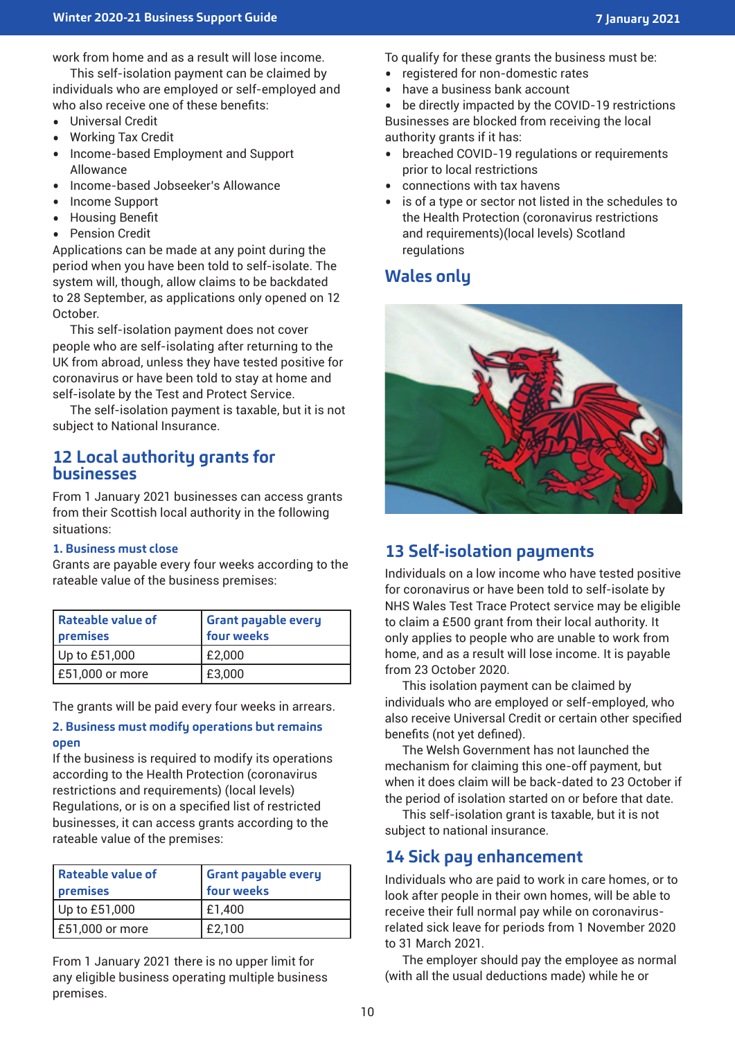work from home and as a result will lose income.

This self-isolation payment can be claimed by individuals who are employed or self-employed and who also receive one of these benefits:

- Universal Credit
- Working Tax Credit
- Income-based Employment and Support Allowance
- Income-based Jobseeker's Allowance<br>• Income Support
- Income Support
- Housing Benefit
- Pension Credit

Applications can be made at any point during the period when you have been told to self-isolate. The system will, though, allow claims to be backdated to 28 September, as applications only opened on 12 October.

This self-isolation payment does not cover people who are self-isolating after returning to the UK from abroad, unless they have tested positive for coronavirus or have been told to stay at home and self-isolate by the Test and Protect Service.

The self-isolation payment is taxable, but it is not subject to National Insurance.

### **12 Local authority grants for businesses**

From 1 January 2021 businesses can access grants from their Scottish local authority in the following situations:

#### **1. Business must close**

Grants are payable every four weeks according to the rateable value of the business premises:

| <b>Rateable value of</b><br>premises | <b>Grant payable every</b><br>four weeks |
|--------------------------------------|------------------------------------------|
| Up to £51,000                        | E2,000                                   |
| £51,000 or more                      | £3,000                                   |

The grants will be paid every four weeks in arrears.

#### **2. Business must modify operations but remains open**

If the business is required to modify its operations according to the Health Protection (coronavirus restrictions and requirements) (local levels) Regulations, or is on a specified list of restricted businesses, it can access grants according to the rateable value of the premises:

| Rateable value of<br>premises | Grant payable every<br>four weeks |
|-------------------------------|-----------------------------------|
| Up to £51,000                 | £1,400                            |
| E51,000 or more               | £2,100                            |

From 1 January 2021 there is no upper limit for any eligible business operating multiple business premises.

To qualify for these grants the business must be:

- registered for non-domestic rates
- have a business bank account<br>• he directly impacted by the CO

be directly impacted by the COVID-19 restrictions Businesses are blocked from receiving the local authority grants if it has:

- breached COVID-19 regulations or requirements prior to local restrictions
- connections with tax havens<br>• is of a type or sector not liste
- is of a type or sector not listed in the schedules to the Health Protection (coronavirus restrictions and requirements)(local levels) Scotland regulations

# **Wales only**



# **13 Self-isolation payments**

Individuals on a low income who have tested positive for coronavirus or have been told to self-isolate by NHS Wales Test Trace Protect service may be eligible to claim a £500 grant from their local authority. It only applies to people who are unable to work from home, and as a result will lose income. It is payable from 23 October 2020.

This isolation payment can be claimed by individuals who are employed or self-employed, who also receive Universal Credit or certain other specified benefits (not yet defined).

The Welsh Government has not launched the mechanism for claiming this one-off payment, but when it does claim will be back-dated to 23 October if the period of isolation started on or before that date.

This self-isolation grant is taxable, but it is not subject to national insurance.

### **14 Sick pay enhancement**

Individuals who are paid to work in care homes, or to look after people in their own homes, will be able to receive their full normal pay while on coronavirusrelated sick leave for periods from 1 November 2020 to 31 March 2021.

The employer should pay the employee as normal (with all the usual deductions made) while he or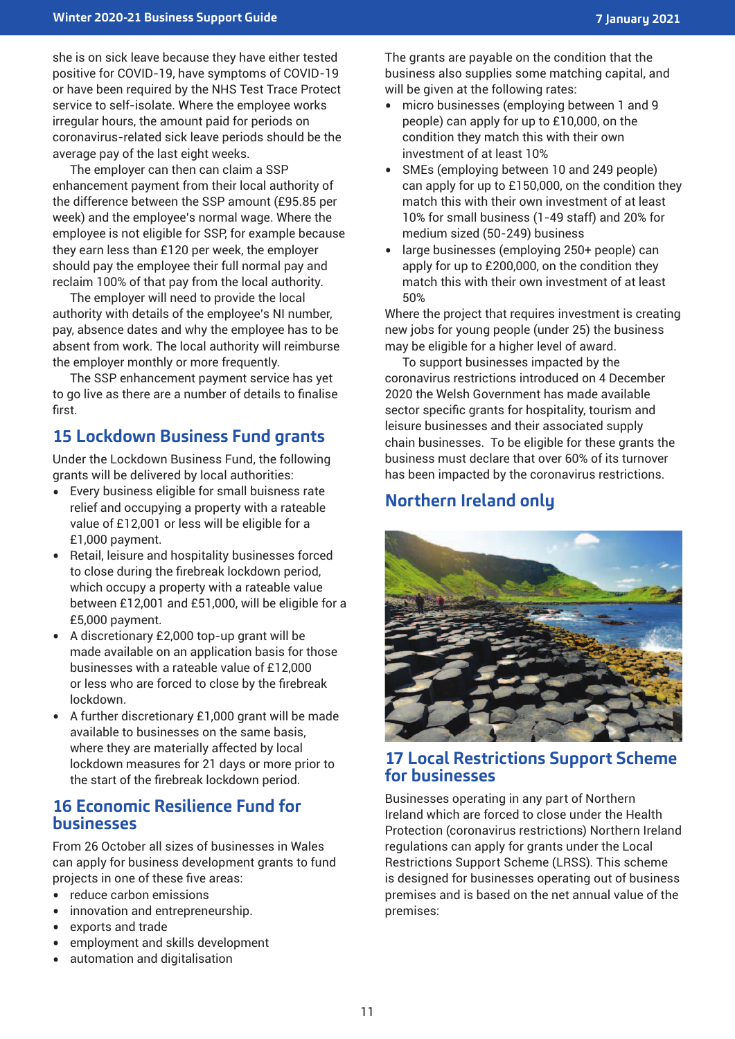she is on sick leave because they have either tested positive for COVID-19, have symptoms of COVID-19 or have been required by the NHS Test Trace Protect service to self-isolate. Where the employee works irregular hours, the amount paid for periods on coronavirus-related sick leave periods should be the average pay of the last eight weeks.

The employer can then can claim a SSP enhancement payment from their local authority of the difference between the SSP amount (£95.85 per week) and the employee's normal wage. Where the employee is not eligible for SSP, for example because they earn less than £120 per week, the employer should pay the employee their full normal pay and reclaim 100% of that pay from the local authority.

The employer will need to provide the local authority with details of the employee's NI number, pay, absence dates and why the employee has to be absent from work. The local authority will reimburse the employer monthly or more frequently.

The SSP enhancement payment service has yet to go live as there are a number of details to finalise first.

# **15 Lockdown Business Fund grants**

Under the Lockdown Business Fund, the following grants will be delivered by local authorities:

- Every business eligible for small buisness rate relief and occupying a property with a rateable value of £12,001 or less will be eligible for a £1,000 payment.
- Retail, leisure and hospitality businesses forced to close during the firebreak lockdown period, which occupy a property with a rateable value between £12,001 and £51,000, will be eligible for a £5,000 payment.
- A discretionary £2,000 top-up grant will be made available on an application basis for those businesses with a rateable value of £12,000 or less who are forced to close by the firebreak lockdown.
- A further discretionary £1,000 grant will be made available to businesses on the same basis, where they are materially affected by local lockdown measures for 21 days or more prior to the start of the firebreak lockdown period.

### **16 Economic Resilience Fund for businesses**

From 26 October all sizes of businesses in Wales can apply for business development grants to fund projects in one of these five areas:

- reduce carbon emissions<br>• innovation and entreprene
- innovation and entrepreneurship.<br>• exports and trade
- exports and trade<br>• employment and s
- employment and skills development<br>• automation and digitalisation
- automation and digitalisation

The grants are payable on the condition that the business also supplies some matching capital, and will be given at the following rates:

- micro businesses (employing between 1 and 9 people) can apply for up to £10,000, on the condition they match this with their own investment of at least 10%
- SMEs (employing between 10 and 249 people) can apply for up to £150,000, on the condition they match this with their own investment of at least 10% for small business (1-49 staff) and 20% for medium sized (50-249) business
- large businesses (employing 250+ people) can apply for up to £200,000, on the condition they match this with their own investment of at least 50%

Where the project that requires investment is creating new jobs for young people (under 25) the business may be eligible for a higher level of award.

To support businesses impacted by the coronavirus restrictions introduced on 4 December 2020 the Welsh Government has made available sector specific grants for hospitality, tourism and leisure businesses and their associated supply chain businesses. To be eligible for these grants the business must declare that over 60% of its turnover has been impacted by the coronavirus restrictions.

# **Northern Ireland only**



# **17 Local Restrictions Support Scheme for businesses**

Businesses operating in any part of Northern Ireland which are forced to close under the Health Protection (coronavirus restrictions) Northern Ireland regulations can apply for grants under the Local Restrictions Support Scheme (LRSS). This scheme is designed for businesses operating out of business premises and is based on the net annual value of the premises: